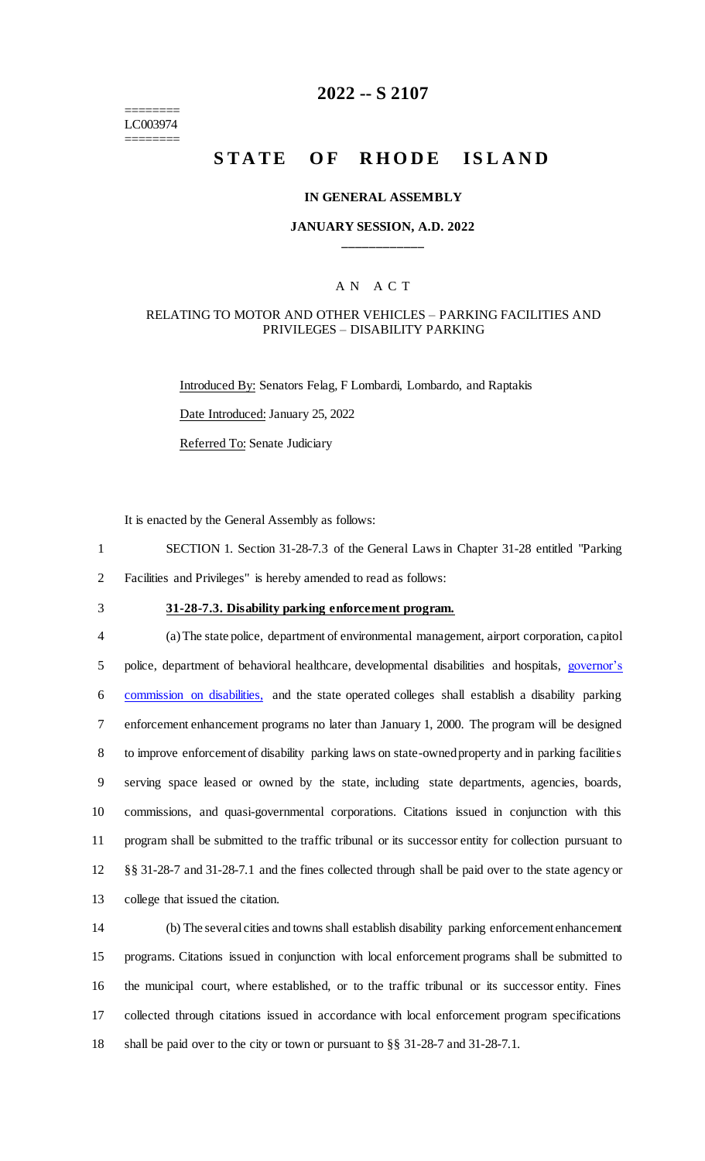======== LC003974 ========

# **2022 -- S 2107**

# **STATE OF RHODE ISLAND**

#### **IN GENERAL ASSEMBLY**

#### **JANUARY SESSION, A.D. 2022 \_\_\_\_\_\_\_\_\_\_\_\_**

#### A N A C T

#### RELATING TO MOTOR AND OTHER VEHICLES – PARKING FACILITIES AND PRIVILEGES – DISABILITY PARKING

Introduced By: Senators Felag, F Lombardi, Lombardo, and Raptakis Date Introduced: January 25, 2022 Referred To: Senate Judiciary

It is enacted by the General Assembly as follows:

1 SECTION 1. Section 31-28-7.3 of the General Laws in Chapter 31-28 entitled "Parking 2 Facilities and Privileges" is hereby amended to read as follows:

3 **31-28-7.3. Disability parking enforcement program.**

 (a) The state police, department of environmental management, airport corporation, capitol 5 police, department of behavioral healthcare, developmental disabilities and hospitals, governor's commission on disabilities, and the state operated colleges shall establish a disability parking enforcement enhancement programs no later than January 1, 2000. The program will be designed to improve enforcement of disability parking laws on state-owned property and in parking facilities serving space leased or owned by the state, including state departments, agencies, boards, commissions, and quasi-governmental corporations. Citations issued in conjunction with this program shall be submitted to the traffic tribunal or its successor entity for collection pursuant to §§ 31-28-7 and 31-28-7.1 and the fines collected through shall be paid over to the state agency or college that issued the citation.

 (b) The several cities and towns shall establish disability parking enforcement enhancement programs. Citations issued in conjunction with local enforcement programs shall be submitted to the municipal court, where established, or to the traffic tribunal or its successor entity. Fines collected through citations issued in accordance with local enforcement program specifications shall be paid over to the city or town or pursuant to §§ 31-28-7 and 31-28-7.1.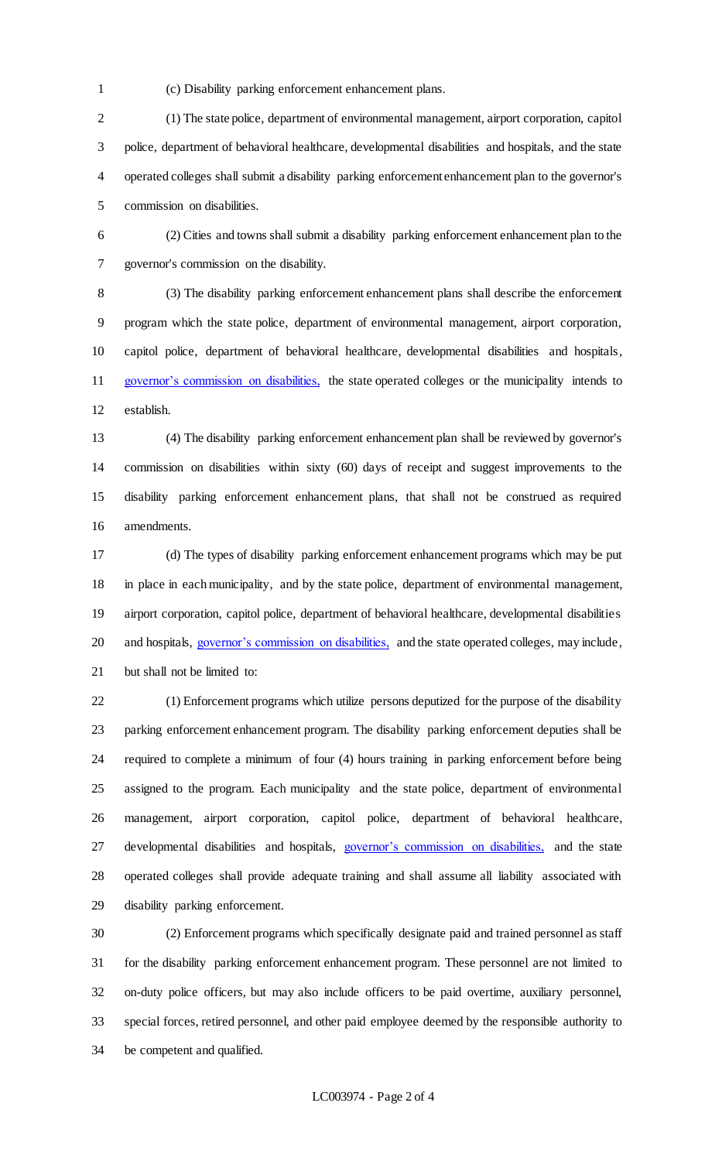(c) Disability parking enforcement enhancement plans.

 (1) The state police, department of environmental management, airport corporation, capitol police, department of behavioral healthcare, developmental disabilities and hospitals, and the state operated colleges shall submit a disability parking enforcement enhancement plan to the governor's commission on disabilities.

 (2) Cities and towns shall submit a disability parking enforcement enhancement plan to the governor's commission on the disability.

 (3) The disability parking enforcement enhancement plans shall describe the enforcement program which the state police, department of environmental management, airport corporation, capitol police, department of behavioral healthcare, developmental disabilities and hospitals, governor's commission on disabilities, the state operated colleges or the municipality intends to establish.

 (4) The disability parking enforcement enhancement plan shall be reviewed by governor's commission on disabilities within sixty (60) days of receipt and suggest improvements to the disability parking enforcement enhancement plans, that shall not be construed as required amendments.

 (d) The types of disability parking enforcement enhancement programs which may be put in place in each municipality, and by the state police, department of environmental management, airport corporation, capitol police, department of behavioral healthcare, developmental disabilities 20 and hospitals, governor's commission on disabilities, and the state operated colleges, may include, but shall not be limited to:

 (1) Enforcement programs which utilize persons deputized for the purpose of the disability parking enforcement enhancement program. The disability parking enforcement deputies shall be required to complete a minimum of four (4) hours training in parking enforcement before being assigned to the program. Each municipality and the state police, department of environmental management, airport corporation, capitol police, department of behavioral healthcare, 27 developmental disabilities and hospitals, governor's commission on disabilities, and the state operated colleges shall provide adequate training and shall assume all liability associated with disability parking enforcement.

 (2) Enforcement programs which specifically designate paid and trained personnel as staff for the disability parking enforcement enhancement program. These personnel are not limited to on-duty police officers, but may also include officers to be paid overtime, auxiliary personnel, special forces, retired personnel, and other paid employee deemed by the responsible authority to be competent and qualified.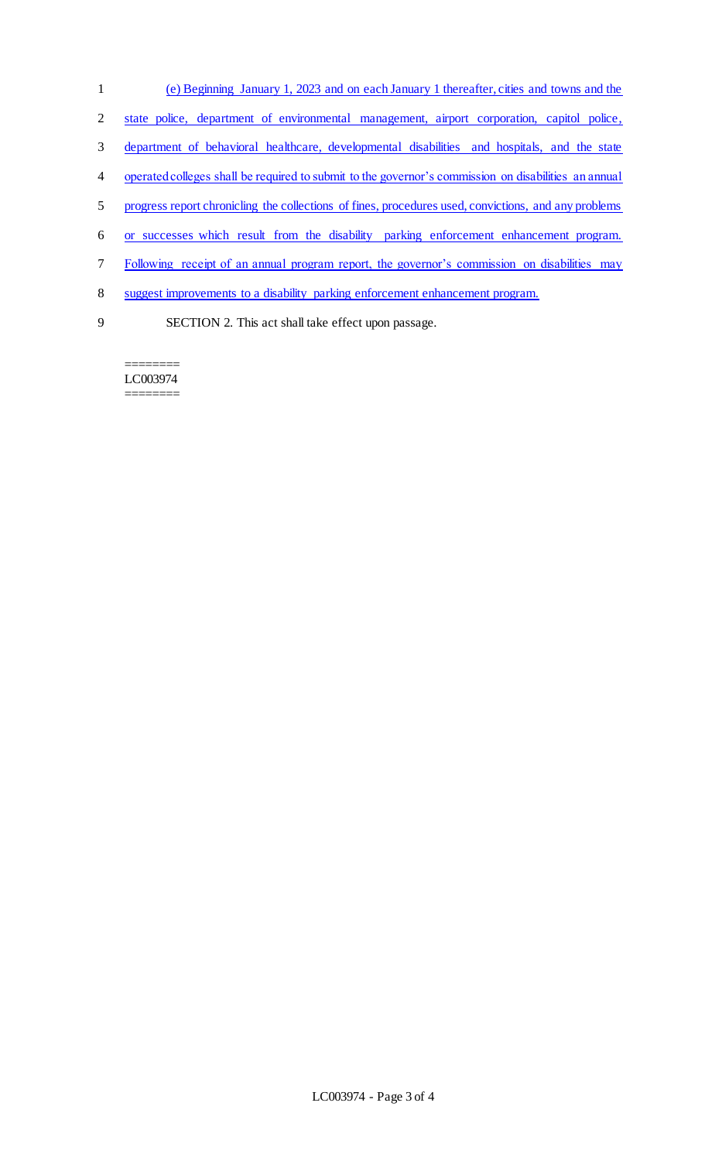- (e) Beginning January 1, 2023 and on each January 1 thereafter, cities and towns and the
- state police, department of environmental management, airport corporation, capitol police,
- department of behavioral healthcare, developmental disabilities and hospitals, and the state
- operated colleges shall be required to submit to the governor's commission on disabilities an annual
- progress report chronicling the collections of fines, procedures used, convictions, and any problems
- or successes which result from the disability parking enforcement enhancement program.
- Following receipt of an annual program report, the governor's commission on disabilities may
- suggest improvements to a disability parking enforcement enhancement program.
- 

SECTION 2. This act shall take effect upon passage.

======== LC003974 ========